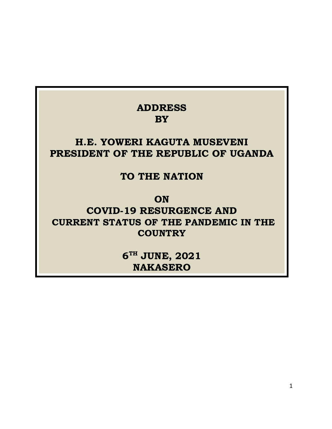## ADDRESS BY

## H.E. YOWERI KAGUTA MUSEVENI PRESIDENT OF THE REPUBLIC OF UGANDA

#### TO THE NATION

**ON** 

COVID-19 RESURGENCE AND CURRENT STATUS OF THE PANDEMIC IN THE **COUNTRY** 

> $6^{\text{\tiny{TH}}}$  JUNE, 2021 NAKASERO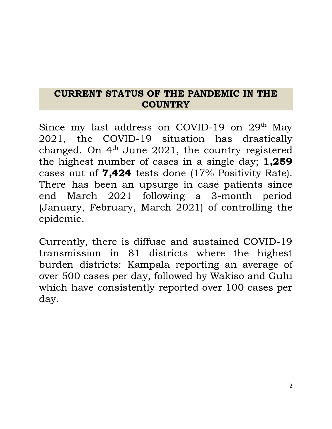### CURRENT STATUS OF THE PANDEMIC IN THE **COUNTRY**

Since my last address on COVID-19 on  $29<sup>th</sup>$  May 2021, the COVID-19 situation has drastically changed. On  $4<sup>th</sup>$  June 2021, the country registered the highest number of cases in a single day; 1,259 cases out of 7,424 tests done (17% Positivity Rate). There has been an upsurge in case patients since end March 2021 following a 3-month period (January, February, March 2021) of controlling the epidemic.

Currently, there is diffuse and sustained COVID-19 transmission in 81 districts where the highest burden districts: Kampala reporting an average of over 500 cases per day, followed by Wakiso and Gulu which have consistently reported over 100 cases per day.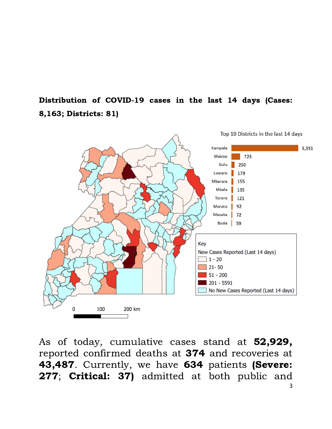Distribution of COVID-19 cases in the last 14 days (Cases: 8,163; Districts: 81)



As of today, cumulative cases stand at 52,929, reported confirmed deaths at 374 and recoveries at 43,487. Currently, we have 634 patients (Severe: 277; Critical: 37) admitted at both public and 3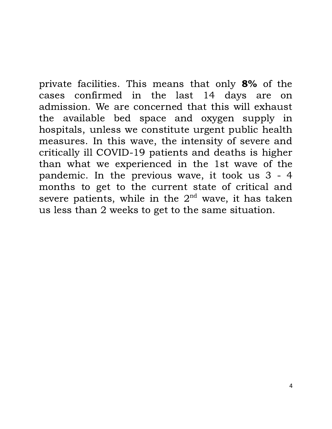private facilities. This means that only 8% of the cases confirmed in the last 14 days are on admission. We are concerned that this will exhaust the available bed space and oxygen supply in hospitals, unless we constitute urgent public health measures. In this wave, the intensity of severe and critically ill COVID-19 patients and deaths is higher than what we experienced in the 1st wave of the pandemic. In the previous wave, it took us 3 - 4 months to get to the current state of critical and severe patients, while in the  $2<sup>nd</sup>$  wave, it has taken us less than 2 weeks to get to the same situation.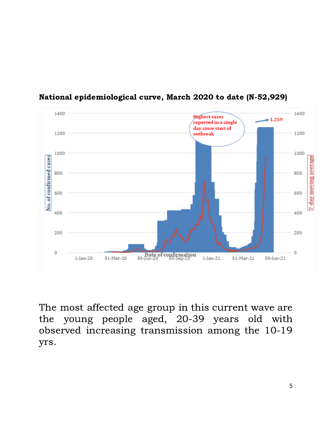

#### National epidemiological curve, March 2020 to date (N-52,929)

The most affected age group in this current wave are the young people aged, 20-39 years old with observed increasing transmission among the 10-19 yrs.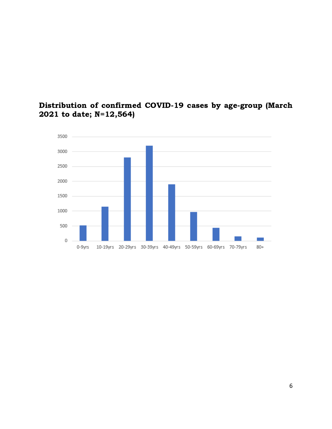

#### Distribution of confirmed COVID-19 cases by age-group (March to date; N=12,564)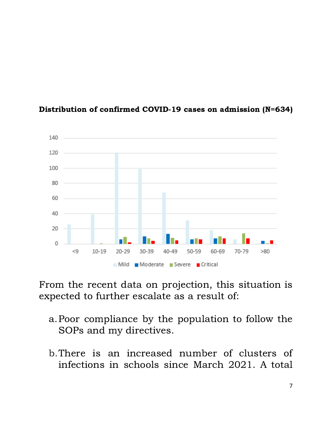

#### Distribution of confirmed COVID-19 cases on admission (N=634)

From the recent data on projection, this situation is expected to further escalate as a result of:

- a.Poor compliance by the population to follow the SOPs and my directives.
- b.There is an increased number of clusters of infections in schools since March 2021. A total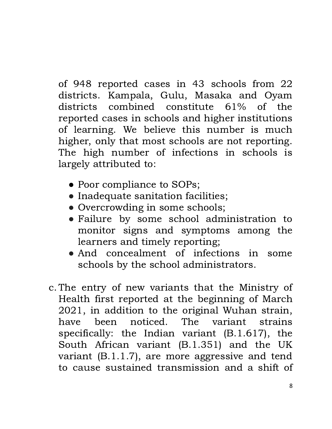of 948 reported cases in 43 schools from 22 districts. Kampala, Gulu, Masaka and Oyam districts combined constitute 61% of the reported cases in schools and higher institutions of learning. We believe this number is much higher, only that most schools are not reporting. The high number of infections in schools is largely attributed to:

- Poor compliance to SOPs;
- Inadequate sanitation facilities;
- Overcrowding in some schools;
- Failure by some school administration to monitor signs and symptoms among the learners and timely reporting;
- And concealment of infections in some schools by the school administrators.
- c. The entry of new variants that the Ministry of Health first reported at the beginning of March 2021, in addition to the original Wuhan strain, have been noticed. The variant strains specifically: the Indian variant (B.1.617), the South African variant (B.1.351) and the UK variant (B.1.1.7), are more aggressive and tend to cause sustained transmission and a shift of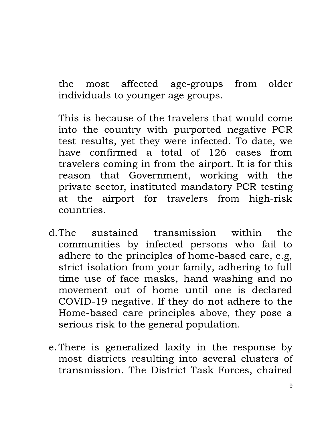the most affected age-groups from older individuals to younger age groups.

This is because of the travelers that would come into the country with purported negative PCR test results, yet they were infected. To date, we have confirmed a total of 126 cases from travelers coming in from the airport. It is for this reason that Government, working with the private sector, instituted mandatory PCR testing at the airport for travelers from high-risk countries.

- d.The sustained transmission within the communities by infected persons who fail to adhere to the principles of home-based care, e.g, strict isolation from your family, adhering to full time use of face masks, hand washing and no movement out of home until one is declared COVID-19 negative. If they do not adhere to the Home-based care principles above, they pose a serious risk to the general population.
- e. There is generalized laxity in the response by most districts resulting into several clusters of transmission. The District Task Forces, chaired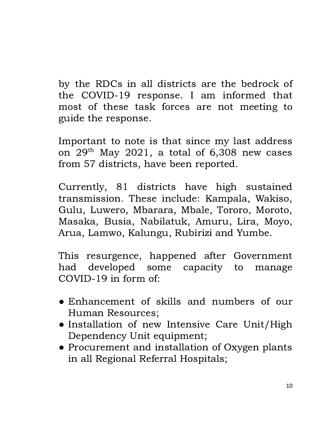by the RDCs in all districts are the bedrock of the COVID-19 response. I am informed that most of these task forces are not meeting to guide the response.

Important to note is that since my last address on  $29<sup>th</sup>$  May 2021, a total of 6,308 new cases from 57 districts, have been reported.

Currently, 81 districts have high sustained transmission. These include: Kampala, Wakiso, Gulu, Luwero, Mbarara, Mbale, Tororo, Moroto, Masaka, Busia, Nabilatuk, Amuru, Lira, Moyo, Arua, Lamwo, Kalungu, Rubirizi and Yumbe.

This resurgence, happened after Government had developed some capacity to manage COVID-19 in form of:

- Enhancement of skills and numbers of our Human Resources;
- Installation of new Intensive Care Unit/High Dependency Unit equipment;
- Procurement and installation of Oxygen plants in all Regional Referral Hospitals;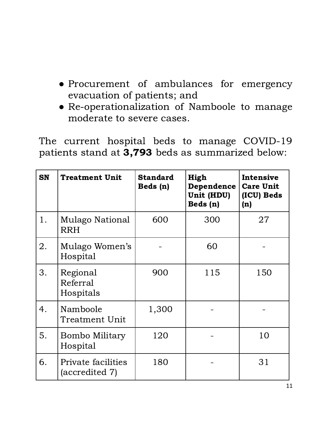- Procurement of ambulances for emergency evacuation of patients; and
- Re-operationalization of Namboole to manage moderate to severe cases.

The current hospital beds to manage COVID-19 patients stand at 3,793 beds as summarized below:

| <b>SN</b> | <b>Treatment Unit</b>                | <b>Standard</b><br>Beds (n) | High<br>Dependence<br>Unit (HDU)<br>Beds (n) | Intensive<br><b>Care Unit</b><br>(ICU) Beds<br>(n) |
|-----------|--------------------------------------|-----------------------------|----------------------------------------------|----------------------------------------------------|
| 1.        | Mulago National<br><b>RRH</b>        | 600                         | 300                                          | 27                                                 |
| 2.        | Mulago Women's<br>Hospital           |                             | 60                                           |                                                    |
| 3.        | Regional<br>Referral<br>Hospitals    | 900                         | 115                                          | 150                                                |
| 4.        | Namboole<br><b>Treatment Unit</b>    | 1,300                       |                                              |                                                    |
| 5.        | <b>Bombo Military</b><br>Hospital    | 120                         |                                              | 10                                                 |
| 6.        | Private facilities<br>(accredited 7) | 180                         |                                              | 31                                                 |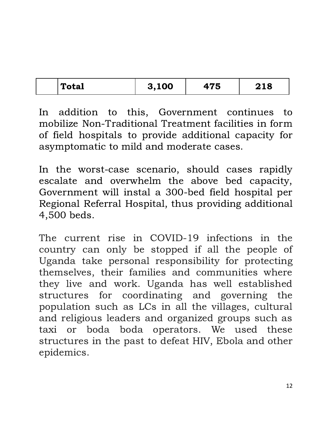| Total | 3,100 | $\rightarrow$ $\rightarrow$<br>ັບ | 218 |
|-------|-------|-----------------------------------|-----|
|       |       |                                   |     |

In addition to this, Government continues to mobilize Non-Traditional Treatment facilities in form of field hospitals to provide additional capacity for asymptomatic to mild and moderate cases.

In the worst-case scenario, should cases rapidly escalate and overwhelm the above bed capacity, Government will instal a 300-bed field hospital per Regional Referral Hospital, thus providing additional 4,500 beds.

The current rise in COVID-19 infections in the country can only be stopped if all the people of Uganda take personal responsibility for protecting themselves, their families and communities where they live and work. Uganda has well established structures for coordinating and governing the population such as LCs in all the villages, cultural and religious leaders and organized groups such as taxi or boda boda operators. We used these structures in the past to defeat HIV, Ebola and other epidemics.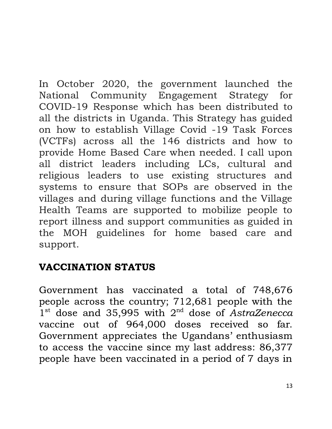In October 2020, the government launched the National Community Engagement Strategy for COVID-19 Response which has been distributed to all the districts in Uganda. This Strategy has guided on how to establish Village Covid -19 Task Forces (VCTFs) across all the 146 districts and how to provide Home Based Care when needed. I call upon all district leaders including LCs, cultural and religious leaders to use existing structures and systems to ensure that SOPs are observed in the villages and during village functions and the Village Health Teams are supported to mobilize people to report illness and support communities as guided in the MOH guidelines for home based care and support.

## VACCINATION STATUS

Government has vaccinated a total of 748,676 people across the country; 712,681 people with the 1<sup>st</sup> dose and 35,995 with 2<sup>nd</sup> dose of AstraZenecca vaccine out of 964,000 doses received so far. Government appreciates the Ugandans' enthusiasm to access the vaccine since my last address: 86,377 people have been vaccinated in a period of 7 days in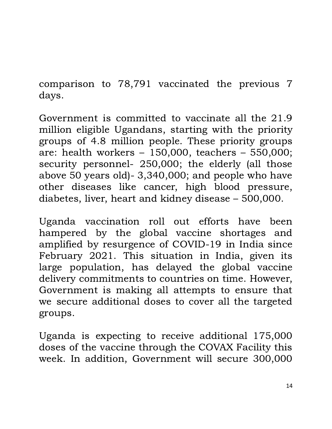comparison to 78,791 vaccinated the previous 7 days.

Government is committed to vaccinate all the 21.9 million eligible Ugandans, starting with the priority groups of 4.8 million people. These priority groups are: health workers – 150,000, teachers – 550,000; security personnel- 250,000; the elderly (all those above 50 years old)- 3,340,000; and people who have other diseases like cancer, high blood pressure, diabetes, liver, heart and kidney disease – 500,000.

Uganda vaccination roll out efforts have been hampered by the global vaccine shortages and amplified by resurgence of COVID-19 in India since February 2021. This situation in India, given its large population, has delayed the global vaccine delivery commitments to countries on time. However, Government is making all attempts to ensure that we secure additional doses to cover all the targeted groups.

Uganda is expecting to receive additional 175,000 doses of the vaccine through the COVAX Facility this week. In addition, Government will secure 300,000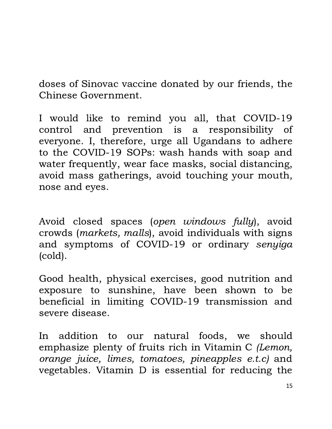doses of Sinovac vaccine donated by our friends, the Chinese Government.

I would like to remind you all, that COVID-19 control and prevention is a responsibility of everyone. I, therefore, urge all Ugandans to adhere to the COVID-19 SOPs: wash hands with soap and water frequently, wear face masks, social distancing, avoid mass gatherings, avoid touching your mouth, nose and eyes.

Avoid closed spaces (open windows fully), avoid crowds (markets, malls), avoid individuals with signs and symptoms of COVID-19 or ordinary senyiga (cold).

Good health, physical exercises, good nutrition and exposure to sunshine, have been shown to be beneficial in limiting COVID-19 transmission and severe disease.

In addition to our natural foods, we should emphasize plenty of fruits rich in Vitamin C (Lemon, orange juice, limes, tomatoes, pineapples e.t.c) and vegetables. Vitamin D is essential for reducing the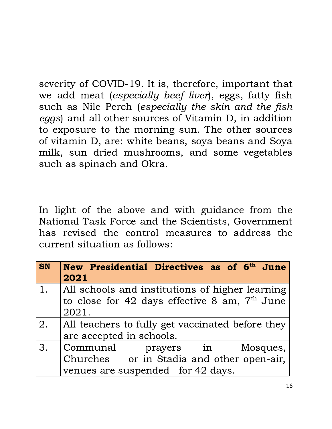severity of COVID-19. It is, therefore, important that we add meat (especially beef liver), eggs, fatty fish such as Nile Perch (especially the skin and the fish eggs) and all other sources of Vitamin D, in addition to exposure to the morning sun. The other sources of vitamin D, are: white beans, soya beans and Soya milk, sun dried mushrooms, and some vegetables such as spinach and Okra.

In light of the above and with guidance from the National Task Force and the Scientists, Government has revised the control measures to address the current situation as follows:

| <b>SN</b> | New Presidential Directives as of 6 <sup>th</sup> June<br>2021 |
|-----------|----------------------------------------------------------------|
| 1.        | All schools and institutions of higher learning                |
|           | to close for 42 days effective 8 am, 7 <sup>th</sup> June      |
|           | 2021.                                                          |
| 2.        | All teachers to fully get vaccinated before they               |
|           | are accepted in schools.                                       |
| 3.        | Communal prayers in Mosques,                                   |
|           | Churches or in Stadia and other open-air,                      |
|           | venues are suspended for 42 days.                              |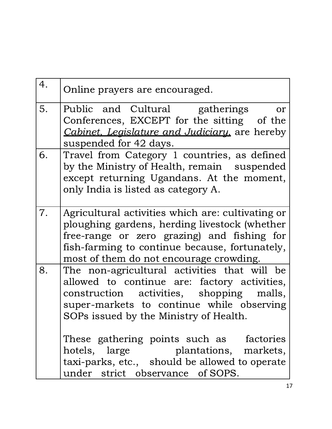| 4. | Online prayers are encouraged.                                                                                                                                                                                                                                                                                                                                       |
|----|----------------------------------------------------------------------------------------------------------------------------------------------------------------------------------------------------------------------------------------------------------------------------------------------------------------------------------------------------------------------|
| 5. | Public and Cultural gatherings<br>or<br>Conferences, EXCEPT for the sitting of the<br>Cabinet, Legislature and Judiciary, are hereby<br>suspended for 42 days.                                                                                                                                                                                                       |
| 6. | Travel from Category 1 countries, as defined<br>by the Ministry of Health, remain suspended<br>except returning Ugandans. At the moment,<br>only India is listed as category A.                                                                                                                                                                                      |
| 7. | Agricultural activities which are: cultivating or<br>ploughing gardens, herding livestock (whether<br>free-range or zero grazing) and fishing for<br>fish-farming to continue because, fortunately,<br>most of them do not encourage crowding.                                                                                                                       |
| 8. | The non-agricultural activities that will be<br>allowed to continue are: factory activities,<br>construction activities, shopping malls,<br>super-markets to continue while observing<br>SOPs issued by the Ministry of Health.<br>These gathering points such as factories<br>hotels, large plantations, markets,<br>taxi-parks, etc., should be allowed to operate |
|    | under strict observance of SOPS.                                                                                                                                                                                                                                                                                                                                     |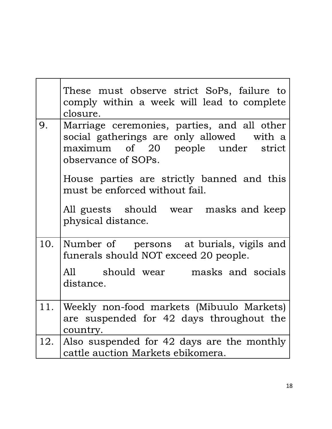|     | These must observe strict SoPs, failure to<br>comply within a week will lead to complete<br>closure.                                                 |
|-----|------------------------------------------------------------------------------------------------------------------------------------------------------|
| 9.  | Marriage ceremonies, parties, and all other<br>social gatherings are only allowed with a<br>maximum of 20 people under strict<br>observance of SOPs. |
|     | House parties are strictly banned and this<br>must be enforced without fail.                                                                         |
|     | All guests should wear masks and keep<br>physical distance.                                                                                          |
| 10. | Number of persons at burials, vigils and<br>funerals should NOT exceed 20 people.                                                                    |
|     | All should wear masks and socials<br>distance.                                                                                                       |
| 11. | Weekly non-food markets (Mibuulo Markets)<br>are suspended for 42 days throughout the<br>country.                                                    |
| 12. | Also suspended for 42 days are the monthly<br>cattle auction Markets ebikomera.                                                                      |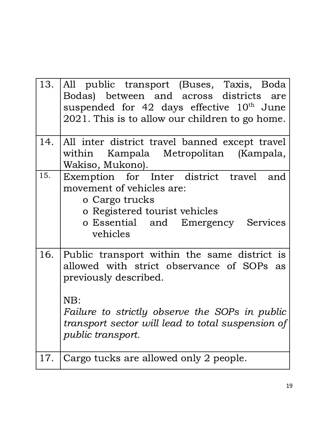| 13. | All public transport (Buses, Taxis, Boda<br>Bodas) between and across districts are<br>suspended for 42 days effective $10th$ June<br>2021. This is to allow our children to go home.                                                                        |
|-----|--------------------------------------------------------------------------------------------------------------------------------------------------------------------------------------------------------------------------------------------------------------|
| 14. | All inter district travel banned except travel<br>within Kampala Metropolitan (Kampala,<br>Wakiso, Mukono).                                                                                                                                                  |
| 15. | Exemption for Inter district travel and<br>movement of vehicles are:<br>o Cargo trucks<br>o Registered tourist vehicles<br>o Essential and Emergency Services<br>vehicles                                                                                    |
| 16. | Public transport within the same district is<br>allowed with strict observance of SOPs as<br>previously described.<br>NB:<br>Failure to strictly observe the SOPs in public<br>transport sector will lead to total suspension of<br><i>public transport.</i> |
| 17. | Cargo tucks are allowed only 2 people.                                                                                                                                                                                                                       |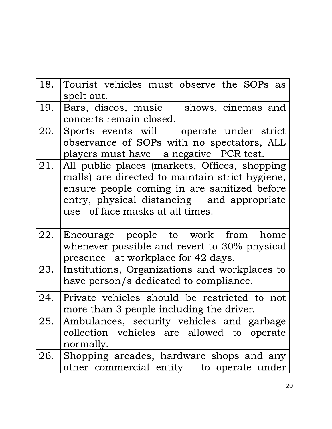| 18. | Tourist vehicles must observe the SOPs as                                            |
|-----|--------------------------------------------------------------------------------------|
|     | spelt out.                                                                           |
| 19. | Bars, discos, music shows, cinemas and                                               |
|     | concerts remain closed.                                                              |
| 20. | Sports events will operate under strict                                              |
|     | observance of SOPs with no spectators, ALL                                           |
|     | players must have a negative PCR test.                                               |
| 21. | All public places (markets, Offices, shopping                                        |
|     | malls) are directed to maintain strict hygiene,                                      |
|     | ensure people coming in are sanitized before                                         |
|     | entry, physical distancing and appropriate                                           |
|     | use of face masks at all times.                                                      |
|     |                                                                                      |
|     |                                                                                      |
| 22. | Encourage people to work from home                                                   |
|     | whenever possible and revert to 30% physical                                         |
|     | presence at workplace for 42 days.                                                   |
| 23. | Institutions, Organizations and workplaces to                                        |
|     | have person/s dedicated to compliance.                                               |
| 24. | Private vehicles should be restricted to not                                         |
|     | more than 3 people including the driver.                                             |
| 25. | Ambulances, security vehicles and garbage                                            |
|     | collection vehicles are allowed to operate                                           |
|     | normally.                                                                            |
| 26. | Shopping arcades, hardware shops and any<br>other commercial entity to operate under |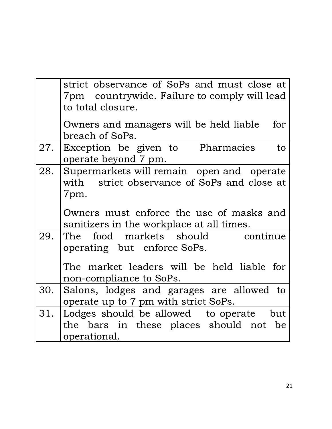|     | strict observance of SoPs and must close at<br>7pm countrywide. Failure to comply will lead<br>to total closure.                             |
|-----|----------------------------------------------------------------------------------------------------------------------------------------------|
|     | Owners and managers will be held liable<br>for<br>breach of SoPs.                                                                            |
| 27. | Exception be given to Pharmacies<br>to<br>operate beyond 7 pm.                                                                               |
| 28. | Supermarkets will remain open and operate<br>with strict observance of SoPs and close at<br>7pm.<br>Owners must enforce the use of masks and |
|     | sanitizers in the workplace at all times.                                                                                                    |
| 29. | The food markets should<br>continue<br>operating but enforce SoPs.                                                                           |
|     | The market leaders will be held liable for<br>non-compliance to SoPs.                                                                        |
| 30. | Salons, lodges and garages are allowed to<br>operate up to 7 pm with strict SoPs.                                                            |
| 31. | Lodges should be allowed to operate but<br>the bars in these places should not be<br>operational.                                            |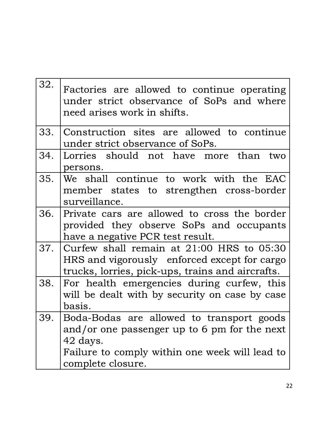| 32. | Factories are allowed to continue operating<br>under strict observance of SoPs and where<br>need arises work in shifts.                                                      |
|-----|------------------------------------------------------------------------------------------------------------------------------------------------------------------------------|
| 33. | Construction sites are allowed to continue<br>under strict observance of SoPs.                                                                                               |
| 34. | Lorries should not have more than two<br>persons.                                                                                                                            |
| 35. | We shall continue to work with the EAC<br>member states to strengthen cross-border<br>surveillance.                                                                          |
| 36. | Private cars are allowed to cross the border<br>provided they observe SoPs and occupants<br>have a negative PCR test result.                                                 |
|     | 37. Curfew shall remain at 21:00 HRS to 05:30<br>HRS and vigorously enforced except for cargo<br>trucks, lorries, pick-ups, trains and aircrafts.                            |
| 38. | For health emergencies during curfew, this<br>will be dealt with by security on case by case<br>basis.                                                                       |
| 39  | Boda-Bodas are allowed to transport goods<br>and/or one passenger up to 6 pm for the next<br>42 days.<br>Failure to comply within one week will lead to<br>complete closure. |